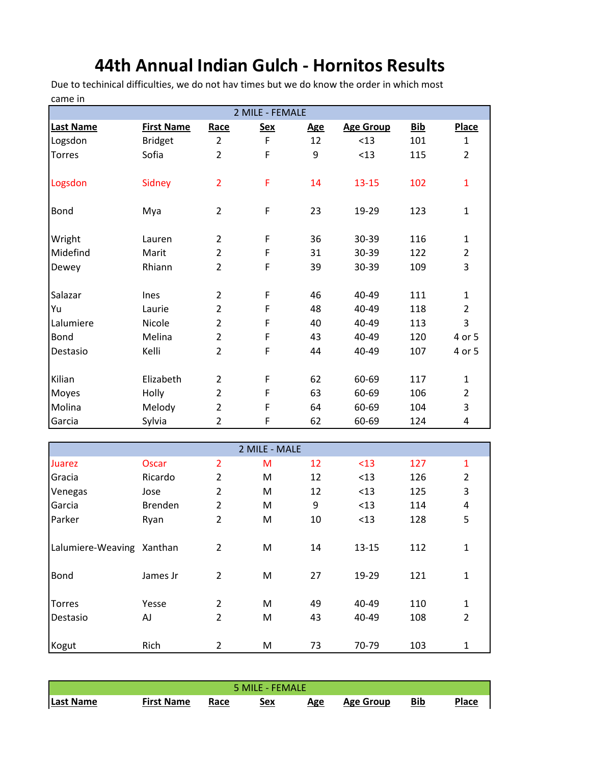## **44th Annual Indian Gulch - Hornitos Results**

Due to techinical difficulties, we do not hav times but we do know the order in which most came in

| 2 MILE - FEMALE           |                   |                |               |                  |                  |            |                         |  |  |  |
|---------------------------|-------------------|----------------|---------------|------------------|------------------|------------|-------------------------|--|--|--|
| Last Name                 | <b>First Name</b> | Race           | <b>Sex</b>    | <b>Age</b>       | <b>Age Group</b> | <b>Bib</b> | <b>Place</b>            |  |  |  |
| Logsdon                   | <b>Bridget</b>    | $\overline{2}$ | F             | 12               | < 13             | 101        | $\mathbf{1}$            |  |  |  |
| <b>Torres</b>             | Sofia             | $\overline{2}$ | F             | 9                | < 13             | 115        | $\overline{2}$          |  |  |  |
| Logsdon                   | Sidney            | $\overline{2}$ | F             | 14               | $13 - 15$        | 102        | $\mathbf{1}$            |  |  |  |
| <b>Bond</b>               | Mya               | $\overline{2}$ | F             | 23               | 19-29            | 123        | $\mathbf{1}$            |  |  |  |
| Wright                    | Lauren            | $\overline{2}$ | F             | 36               | 30-39            | 116        | $\mathbf{1}$            |  |  |  |
| Midefind                  | Marit             | $\overline{2}$ | F             | 31               | 30-39            | 122        | $\overline{2}$          |  |  |  |
| Dewey                     | Rhiann            | $\overline{2}$ | F             | 39               | 30-39            | 109        | 3                       |  |  |  |
| Salazar                   | Ines              | $\overline{2}$ | F             | 46               | 40-49            | 111        | $\mathbf{1}$            |  |  |  |
| Yu                        | Laurie            | $\overline{2}$ | F             | 48               | 40-49            | 118        | $\overline{2}$          |  |  |  |
| Lalumiere                 | Nicole            | $\overline{2}$ | F             | 40               | 40-49            | 113        | 3                       |  |  |  |
| Bond                      | Melina            | $\overline{2}$ | F             | 43               | 40-49            | 120        | 4 or 5                  |  |  |  |
| Destasio                  | Kelli             | $\overline{2}$ | F             | 44               | 40-49            | 107        | 4 or 5                  |  |  |  |
| Kilian                    | Elizabeth         | $\overline{2}$ | F             | 62               | 60-69            | 117        | $\mathbf{1}$            |  |  |  |
| Moyes                     | Holly             | $\overline{2}$ | F             | 63               | 60-69            | 106        | $\overline{2}$          |  |  |  |
| Molina                    | Melody            | $\overline{2}$ | F             | 64               | 60-69            | 104        | 3                       |  |  |  |
| Garcia                    | Sylvia            | $\overline{2}$ | F             | 62               | 60-69            | 124        | 4                       |  |  |  |
|                           |                   |                |               |                  |                  |            |                         |  |  |  |
|                           |                   |                | 2 MILE - MALE |                  |                  |            |                         |  |  |  |
| Juarez                    | <b>Oscar</b>      | $\overline{2}$ | M             | 12               | < 13             | 127        | $\mathbf{1}$            |  |  |  |
| Gracia                    | Ricardo           | $\overline{2}$ | M             | 12               | < 13             | 126        | $\overline{2}$          |  |  |  |
| Venegas                   | Jose              | $\overline{2}$ | M             | 12               | < 13             | 125        | 3                       |  |  |  |
| Garcia                    | <b>Brenden</b>    | $\overline{2}$ | M             | $\boldsymbol{9}$ | < 13             | 114        | $\overline{\mathbf{4}}$ |  |  |  |
| Parker                    | Ryan              | $\overline{2}$ | M             | 10               | < 13             | 128        | 5                       |  |  |  |
| Lalumiere-Weaving Xanthan |                   | $\overline{2}$ | M             | 14               | $13 - 15$        | 112        | $\mathbf{1}$            |  |  |  |
| <b>Bond</b>               | James Jr          | $\overline{2}$ | M             | 27               | 19-29            | 121        | $\mathbf{1}$            |  |  |  |
| <b>Torres</b>             | Yesse             | $\overline{2}$ | M             | 49               | 40-49            | 110        | $\mathbf{1}$            |  |  |  |
| Destasio                  | AJ                | $\overline{2}$ | M             | 43               | 40-49            | 108        | 2                       |  |  |  |
|                           |                   |                |               |                  |                  |            |                         |  |  |  |

| 5 MILE - FEMALE |                   |      |            |     |                  |     |              |  |  |
|-----------------|-------------------|------|------------|-----|------------------|-----|--------------|--|--|
| Last Name       | <b>First Name</b> | Race | <u>Sex</u> | Age | <b>Age Group</b> | Bib | <b>Place</b> |  |  |

Kogut Rich 2 M 73 70-79 103 1